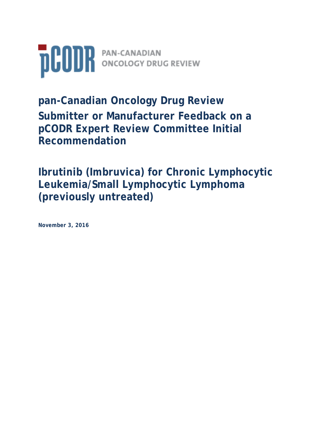

**pan-Canadian Oncology Drug Review Submitter or Manufacturer Feedback on a pCODR Expert Review Committee Initial Recommendation** 

**Ibrutinib (Imbruvica) for Chronic Lymphocytic Leukemia/Small Lymphocytic Lymphoma (previously untreated)**

**November 3, 2016**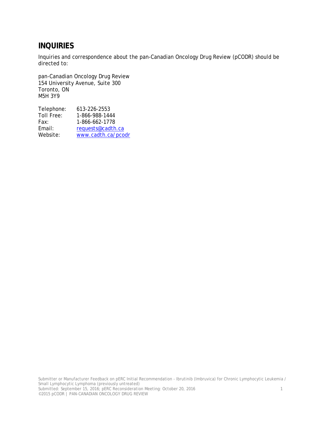## **INQUIRIES**

Inquiries and correspondence about the pan-Canadian Oncology Drug Review (pCODR) should be directed to:

pan-Canadian Oncology Drug Review 154 University Avenue, Suite 300 Toronto, ON M5H 3Y9

| Telephone:        | 613-226-2553       |
|-------------------|--------------------|
| <b>Toll Free:</b> | 1-866-988-1444     |
| Fax:              | 1-866-662-1778     |
| Email:            | requests@cadth.ca  |
| Website:          | www.cadth.ca/pcodr |
|                   |                    |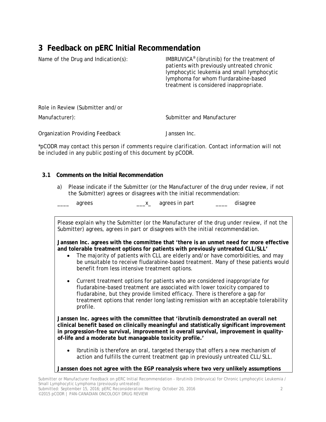# **3 Feedback on pERC Initial Recommendation**

| Name of the Drug and Indication(s): | IMBRUVICA <sup>®</sup> (ibrutinib) for the treatment of<br>patients with previously untreated chronic<br>lymphocytic leukemia and small lymphocytic<br>lymphoma for whom flurdarabine-based<br>treatment is considered inappropriate. |
|-------------------------------------|---------------------------------------------------------------------------------------------------------------------------------------------------------------------------------------------------------------------------------------|
| Role in Review (Submitter and/or    |                                                                                                                                                                                                                                       |
| Manufacturer):                      | Submitter and Manufacturer                                                                                                                                                                                                            |
| Organization Providing Feedback     | Janssen Inc.                                                                                                                                                                                                                          |

*\*pCODR may contact this person if comments require clarification. Contact information will not be included in any public posting of this document by pCODR.*

#### **3.1 Comments on the Initial Recommendation**

a) Please indicate if the Submitter (or the Manufacturer of the drug under review, if not the Submitter) agrees or disagrees with the initial recommendation:

\_\_\_\_ agrees \_\_\_x\_ agrees in part \_\_\_\_ disagree

*Please explain why the* Submitter (or the Manufacturer of the drug under review, if not the Submitter) *agrees, agrees in part or disagrees with the initial recommendation.* 

**Janssen Inc. agrees with the committee that 'there is an unmet need for more effective and tolerable treatment options for patients with previously untreated CLL/SLL'**

- The majority of patients with CLL are elderly and/or have comorbidities, and may be unsuitable to receive fludarabine-based treatment. Many of these patients would benefit from less intensive treatment options.
- Current treatment options for patients who are considered inappropriate for fludarabine-based treatment are associated with lower toxicity compared to fludarabine, but they provide limited efficacy. There is therefore a gap for treatment options that render long lasting remission with an acceptable tolerability profile.

**Janssen Inc. agrees with the committee that 'ibrutinib demonstrated an overall net clinical benefit based on clinically meaningful and statistically significant improvement in progression-free survival, improvement in overall survival, improvement in qualityof-life and a moderate but manageable toxicity profile.'**

• Ibrutinib is therefore an oral, targeted therapy that offers a new mechanism of action and fulfills the current treatment gap in previously untreated CLL/SLL.

**Janssen does not agree with the EGP reanalysis where two very unlikely assumptions**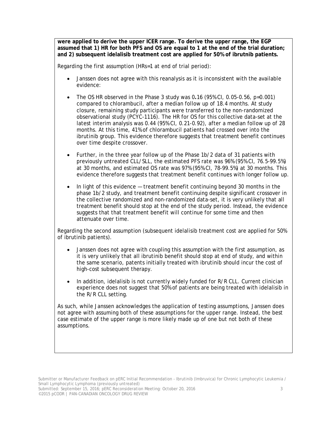**were applied to derive the upper ICER range. To derive the upper range, the EGP assumed that 1) HR for both PFS and OS are equal to 1 at the end of the trial duration; and 2) subsequent idelalisib treatment cost are applied for 50% of ibrutnib patients.**

Regarding the first assumption (HRs=1 at end of trial period):

- Janssen does not agree with this reanalysis as it is inconsistent with the available evidence:
- The OS HR observed in the Phase 3 study was 0**.**16 (95% CI, 0.05-0.56, p=0.001) compared to chlorambucil, after a median follow up of 18.4 months. At study closure, remaining study participants were transferred to the non-randomized observational study (PCYC-1116). The HR for OS for this collective data-set at the latest interim analysis was 0.44 (95% CI, 0.21-0.92), after a median follow up of 28 months. At this time, 41% of chlorambucil patients had crossed over into the ibrutinib group. This evidence therefore suggests that treatment benefit continues over time despite crossover.
- Further, in the three year follow up of the Phase 1b/2 data of 31 patients with previously untreated CLL/SLL, the estimated PFS rate was 96% (95% CI, 76.5-99.5%) at 30 months, and estimated OS rate was 97% (95% CI, 78-99.5%) at 30 months. This evidence therefore suggests that treatment benefit continues with longer follow up.
- In light of this evidence treatment benefit continuing beyond 30 months in the phase 1b/2 study, and treatment benefit continuing despite significant crossover in the collective randomized and non-randomized data-set, it is very unlikely that all treatment benefit should stop at the end of the study period. Instead, the evidence suggests that that treatment benefit will continue for some time and then attenuate over time.

Regarding the second assumption (subsequent idelalisib treatment cost are applied for 50% of ibrutinib patients).

- Janssen does not agree with coupling this assumption with the first assumption, as it is very unlikely that all ibrutinib benefit should stop at end of study, and within the same scenario, patents initially treated with ibrutinib should incur the cost of high-cost subsequent therapy.
- In addition, idelalisib is not currently widely funded for R/R CLL. Current clinician experience does not suggest that 50% of patients are being treated with idelalisib in the R/R CLL setting.

As such, while Janssen acknowledges the application of testing assumptions, Janssen does not agree with assuming both of these assumptions for the upper range. Instead, the best case estimate of the upper range is more likely made up of one but not both of these assumptions.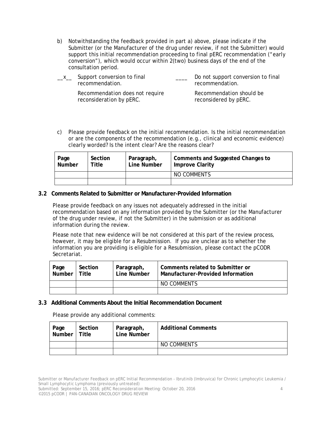b) Notwithstanding the feedback provided in part a) above, please indicate if the Submitter (or the Manufacturer of the drug under review, if not the Submitter) would support this initial recommendation proceeding to final pERC recommendation ("early conversion"), which would occur within 2(two) business days of the end of the consultation period.

| $-{}^{\chi}-$ | Support conversion to final | Do not support conversion to final |
|---------------|-----------------------------|------------------------------------|
|               | recommendation.             | recommendation.                    |

Recommendation does not require reconsideration by pERC.

Recommendation should be reconsidered by pERC.

c) Please provide feedback on the initial recommendation. Is the initial recommendation or are the components of the recommendation (e.g., clinical and economic evidence) clearly worded? Is the intent clear? Are the reasons clear?

| Page<br>Number | Section<br>Title | Paragraph,<br><b>Line Number</b> | Comments and Suggested Changes to<br><b>Improve Clarity</b> |
|----------------|------------------|----------------------------------|-------------------------------------------------------------|
|                |                  |                                  | NO COMMENTS                                                 |
|                |                  |                                  |                                                             |

#### **3.2 Comments Related to Submitter or Manufacturer-Provided Information**

Please provide feedback on any issues not adequately addressed in the initial recommendation based on any information provided by the Submitter (or the Manufacturer of the drug under review, if not the Submitter) in the submission or as additional information during the review.

Please note that new evidence will be not considered at this part of the review process, however, it may be eligible for a Resubmission. If you are unclear as to whether the information you are providing is eligible for a Resubmission, please contact the pCODR Secretariat.

| Page   Section<br>Number   Title | Section | Paragraph,<br>Line Number | Comments related to Submitter or<br>Manufacturer-Provided Information |
|----------------------------------|---------|---------------------------|-----------------------------------------------------------------------|
|                                  |         |                           | NO COMMENTS                                                           |
|                                  |         |                           |                                                                       |

#### **3.3 Additional Comments About the Initial Recommendation Document**

Please provide any additional comments:

| Page<br>Number | Section<br>Title | Paragraph,<br>Line Number | <b>Additional Comments</b> |
|----------------|------------------|---------------------------|----------------------------|
|                |                  |                           | NO COMMENTS                |
|                |                  |                           |                            |

Submitter or Manufacturer Feedback on pERC Initial Recommendation - Ibrutinib (Imbruvica) for Chronic Lymphocytic Leukemia / Small Lymphocytic Lymphoma (previously untreated)

Submitted: September 15, 2016; pERC Reconsideration Meeting: October 20, 2016 4 ©2015 pCODR | PAN-CANADIAN ONCOLOGY DRUG REVIEW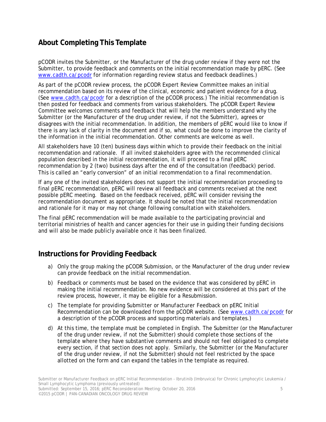## **About Completing This Template**

pCODR invites the Submitter, or the Manufacturer of the drug under review if they were not the Submitter, to provide feedback and comments on the initial recommendation made by pERC. (See www.cadth.ca/pcodr for information regarding review status and feedback deadlines.)

As part of the pCODR review process, the pCODR Expert Review Committee makes an initial recommendation based on its review of the clinical, economic and patient evidence for a drug. (See www.cadth.ca/pcodr for a description of the pCODR process.) The initial recommendation is then posted for feedback and comments from various stakeholders. The pCODR Expert Review Committee welcomes comments and feedback that will help the members understand why the Submitter (or the Manufacturer of the drug under review, if not the Submitter), agrees or disagrees with the initial recommendation. In addition, the members of pERC would like to know if there is any lack of clarity in the document and if so, what could be done to improve the clarity of the information in the initial recommendation. Other comments are welcome as well.

All stakeholders have 10 (ten) business days within which to provide their feedback on the initial recommendation and rationale. If all invited stakeholders agree with the recommended clinical population described in the initial recommendation, it will proceed to a final pERC recommendation by 2 (two) business days after the end of the consultation (feedback) period. This is called an "early conversion" of an initial recommendation to a final recommendation.

If any one of the invited stakeholders does not support the initial recommendation proceeding to final pERC recommendation, pERC will review all feedback and comments received at the next possible pERC meeting. Based on the feedback received, pERC will consider revising the recommendation document as appropriate. It should be noted that the initial recommendation and rationale for it may or may not change following consultation with stakeholders.

The final pERC recommendation will be made available to the participating provincial and territorial ministries of health and cancer agencies for their use in guiding their funding decisions and will also be made publicly available once it has been finalized.

### **Instructions for Providing Feedback**

- a) Only the group making the pCODR Submission, or the Manufacturer of the drug under review can provide feedback on the initial recommendation.
- b) Feedback or comments must be based on the evidence that was considered by pERC in making the initial recommendation. No new evidence will be considered at this part of the review process, however, it may be eligible for a Resubmission.
- c) The template for providing *Submitter or Manufacturer Feedback on pERC Initial Recommendation* can be downloaded from the pCODR website. (See www.cadth.ca/pcodr for a description of the pCODR process and supporting materials and templates.)
- d) At this time, the template must be completed in English. The Submitter (or the Manufacturer of the drug under review, if not the Submitter) should complete those sections of the template where they have substantive comments and should not feel obligated to complete every section, if that section does not apply. Similarly, the Submitter (or the Manufacturer of the drug under review, if not the Submitter) should not feel restricted by the space allotted on the form and can expand the tables in the template as required.